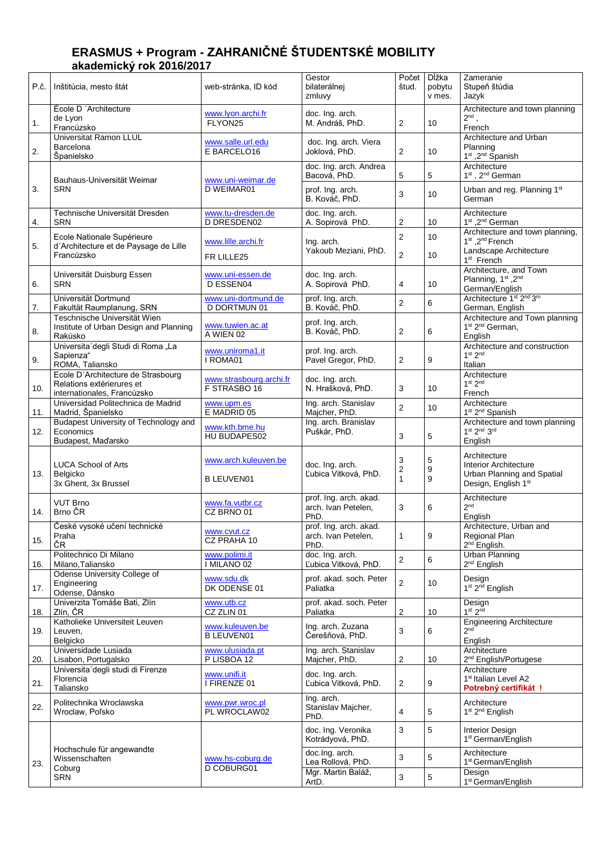## **ERASMUS + Program - ZAHRANIČNÉ ŠTUDENTSKÉ MOBILITY akademický rok 2016/2017**

| P.č. | Inštitúcia, mesto štát                                                                         | web-stránka, ID kód                     | Gestor<br>bilaterálnej<br>zmluvy                      | Počet<br>štud.                   | Dĺžka<br>pobytu<br>v mes. | Zameranie<br>Stupeň štúdia<br>Jazyk                                                                                             |
|------|------------------------------------------------------------------------------------------------|-----------------------------------------|-------------------------------------------------------|----------------------------------|---------------------------|---------------------------------------------------------------------------------------------------------------------------------|
| 1.   | École D'Architecture<br>de Lyon<br>Francúzsko                                                  | www.lyon.archi.fr<br>FLYON25            | doc. Ing. arch.<br>M. Andráš, PhD.                    | $\overline{2}$                   | 10                        | Architecture and town planning<br>$2^{nd}$ ,<br>French                                                                          |
| 2.   | <b>Universitat Ramon LLUL</b><br>Barcelona<br>Španielsko                                       | www.salle.url.edu<br>E BARCELO16        | doc. Ing. arch. Viera<br>Joklová, PhD.                | 2                                | 10                        | Architecture and Urban<br>Planning<br>1 <sup>st</sup> , 2 <sup>nd</sup> Spanish                                                 |
|      | Bauhaus-Universität Weimar                                                                     | www.uni-weimar.de                       | doc. Ing. arch. Andrea<br>Bacová, PhD.                | 5                                | 5                         | Architecture<br>1 <sup>st</sup> , 2 <sup>nd</sup> German                                                                        |
| 3.   | <b>SRN</b>                                                                                     | D WEIMAR01                              | prof. Ing. arch.<br>B. Kováč, PhD.                    | 3                                | 10                        | Urban and reg. Planning 1st<br>German                                                                                           |
| 4.   | Technische Universität Dresden<br><b>SRN</b>                                                   | www.tu-dresden.de<br><b>D DRESDEN02</b> | doc. Ing. arch.<br>A. Sopirová PhD.                   | 2                                | 10                        | Architecture<br>1 <sup>st</sup> , 2 <sup>nd</sup> German                                                                        |
| 5.   | Ecole Nationale Supérieure<br>d'Architecture et de Paysage de Lille<br>Francúzsko              | www.lille.archi.fr<br>FR LILLE25        | Ing. arch.<br>Yakoub Meziani, PhD.                    | $\overline{2}$<br>$\overline{c}$ | 10<br>10                  | Architecture and town planning,<br>1 <sup>st</sup> , 2 <sup>nd</sup> French<br>Landscape Architecture<br>1 <sup>st</sup> French |
| 6.   | Universität Duisburg Essen<br><b>SRN</b>                                                       | www.uni-essen.de<br>D ESSEN04           | doc. Ing. arch.<br>A. Sopirová PhD.                   | 4                                | 10                        | Architecture, and Town<br>Planning, 1st, 2nd<br>German/English                                                                  |
| 7.   | Universität Dortmund<br>Fakultät Raumplanung, SRN                                              | www.uni-dortmund.de<br>D DORTMUN 01     | prof. Ing. arch.<br>B. Kováč, PhD.                    | $\overline{2}$                   | 6                         | Architecture 1 <sup>st</sup> 2 <sup>nd</sup> 3 <sup>m</sup><br>German, English                                                  |
| 8.   | Teschnische Universität Wien<br>Institute of Urban Design and Planning<br>Rakúsko              | www.tuwien.ac.at<br>A WIEN 02           | prof. Ing. arch.<br>B. Kováč, PhD.                    | 2                                | 6                         | Architecture and Town planning<br>1 <sup>st</sup> 2 <sup>nd</sup> German,<br>English                                            |
| 9.   | Universita'degli Studi di Roma "La<br>Sapienza"<br>ROMA, Taliansko                             | www.uniroma1.it<br>I ROMA01             | prof. Ing. arch.<br>Pavel Gregor, PhD.                | 2                                | 9                         | Architecture and construction<br>1 <sup>st</sup> 2 <sup>nd</sup><br>Italian                                                     |
| 10.  | Ecole D'Architecture de Strasbourg<br>Relations extérierures et<br>internationales, Francúzsko | www.strasbourg.archi.fr<br>F STRASBO 16 | doc. Ing. arch.<br>N. Hrašková, PhD.                  | 3                                | 10                        | Architecture<br>1 <sup>st</sup> 2 <sup>nd</sup><br>French                                                                       |
| 11.  | Universidad Politechnica de Madrid<br>Madrid, Španielsko                                       | www.upm.es<br>E MADRID 05               | Ing. arch. Stanislav<br>Majcher, PhD.                 | $\overline{2}$                   | 10                        | Architecture<br>1st 2 <sup>nd</sup> Spanish                                                                                     |
| 12.  | Budapest University of Technology and<br>Economics<br>Budapest, Maďarsko                       | www.kth.bme.hu<br>HU BUDAPES02          | Ing. arch. Branislav<br>Puškár, PhD.                  | 3                                | 5                         | Architecture and town planning<br>$1st 2nd 3rd$<br>English                                                                      |
|      | <b>LUCA School of Arts</b>                                                                     | www.arch.kuleuven.be                    | doc. Ing. arch.                                       | 3                                | 5                         | Architecture<br>Interior Architecture                                                                                           |
| 13.  | Belgicko<br>3x Ghent, 3x Brussel                                                               | <b>B LEUVEN01</b>                       | Ľubica Vitková, PhD.                                  | $\boldsymbol{2}$<br>$\mathbf{1}$ | 9<br>9                    | Urban Planning and Spatial<br>Design, English 1st                                                                               |
| 14.  | <b>VUT Brno</b><br>Brno ČR                                                                     | www.fa.vutbr.cz<br>CZ BRNO 01           | prof. Ing. arch. akad.<br>arch. Ivan Petelen,<br>PhD. | 3                                | 6                         | Architecture<br>2 <sup>nd</sup><br>English                                                                                      |
| 15.  | České vysoké učení technické<br>Praha<br>ČR                                                    | www.cvut.cz<br>CZ PRAHA 10              | prof. Ing. arch. akad.<br>arch. Ivan Petelen,<br>PhD. | $\mathbf{1}$                     | 9                         | Architecture, Urban and<br>Regional Plan<br>2 <sup>nd</sup> English.                                                            |
| 16.  | Politechnico Di Milano<br>Milano, Taliansko                                                    | www.polimi.it<br>I MILANO 02            | doc. Ing. arch.<br>Ľubica Vitková, PhD.               | $\mathbf 2$                      | 6                         | <b>Urban Planning</b><br>2 <sup>nd</sup> English                                                                                |
| 17.  | Odense University College of<br>Engineering<br>Odense, Dánsko                                  | www.sdu.dk<br>DK ODENSE 01              | prof. akad. soch. Peter<br>Paliatka                   | $\overline{c}$                   | 10                        | Design<br>1 <sup>st</sup> 2 <sup>nd</sup> English                                                                               |
| 18.  | Univerzita Tomáše Bati, Zlín<br>Zlín, ČR                                                       | www.utb.cz<br>CZ ZLIN 01                | prof. akad. soch. Peter<br>Paliatka                   | 2                                | 10                        | Design<br>$1st$ 2 <sup>nd</sup>                                                                                                 |
| 19.  | Katholieke Universiteit Leuven<br>Leuven,<br>Belgicko                                          | www.kuleuven.be<br><b>B LEUVEN01</b>    | Ing. arch. Zuzana<br>Čerešňová, PhD.                  | 3                                | 6                         | <b>Engineering Architecture</b><br>2 <sup>nd</sup><br>English                                                                   |
| 20.  | Universidade Lusiada<br>Lisabon, Portugalsko                                                   | www.ulusiada.pt<br>P LISBOA 12          | Ing. arch. Stanislav<br>Majcher, PhD.                 | $\overline{\mathbf{c}}$          | 10                        | Architecture<br>2 <sup>nd</sup> English/Portugese                                                                               |
| 21.  | Universita degli studi di Firenze<br>Florencia<br>Taliansko                                    | www.unifi.it<br>I FIRENZE 01            | doc. Ing. arch.<br>Ľubica Vitková, PhD.               | $\overline{c}$                   | 9                         | Architecture<br>1 <sup>st</sup> Italian Level A2<br>Potrebný certifikát !                                                       |
| 22.  | Politechnika Wroclawska<br>Wroclaw, Poľsko                                                     | www.pwr.wroc.pl<br>PL WROCLAW02         | Ing. arch.<br>Stanislav Majcher,<br>PhD.              | 4                                | 5                         | Architecture<br>1 <sup>st</sup> 2 <sup>nd</sup> English                                                                         |
|      |                                                                                                |                                         | doc. Ing. Veronika<br>Kotrádyová, PhD.                | 3                                | 5                         | <b>Interior Design</b><br>1 <sup>st</sup> German/English                                                                        |
| 23.  | Hochschule für angewandte<br>Wissenschaften<br>Coburg                                          | www.hs-coburg.de<br>D COBURG01          | doc.Ing. arch.<br>Lea Rollová, PhD.                   | 3                                | 5                         | Architecture<br>1 <sup>st</sup> German/English                                                                                  |
|      | SRN                                                                                            |                                         | Mgr. Martin Baláž,<br>ArtD.                           | 3                                | 5                         | Design<br>1 <sup>st</sup> German/English                                                                                        |